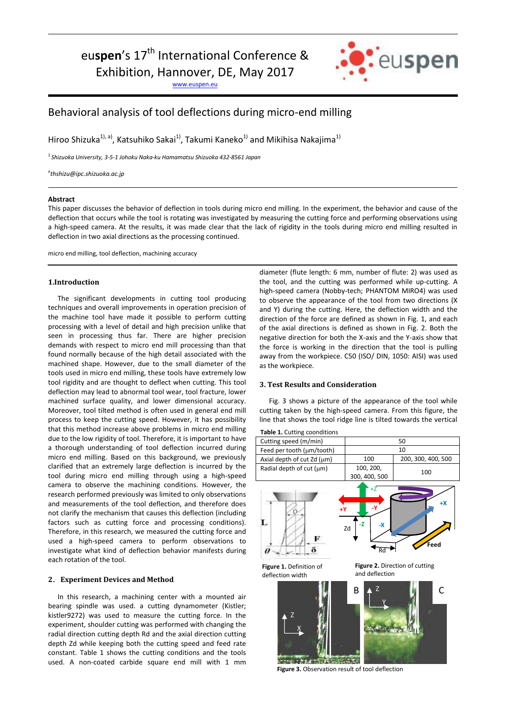eu**spen**'s 17<sup>th</sup> International Conference &

Exhibition, Hannover, DE, May 2017

[www.euspen.eu](http://www.euspen.eu/)



# Behavioral analysis of tool deflections during micro-end milling

Hiroo Shizuka<sup>1), a</sup>), Katsuhiko Sakai<sup>1)</sup>, Takumi Kaneko<sup>1)</sup> and Mikihisa Nakajima<sup>1)</sup>

1 *Shizuoka University, 3-5-1 Johoku Naka-ku Hamamatsu Shizuoka 432-8561 Japan*

*a thshizu@ipc.shizuoka.ac.jp*

## **Abstract**

This paper discusses the behavior of deflection in tools during micro end milling. In the experiment, the behavior and cause of the deflection that occurs while the tool is rotating was investigated by measuring the cutting force and performing observations using a high-speed camera. At the results, it was made clear that the lack of rigidity in the tools during micro end milling resulted in deflection in two axial directions as the processing continued.

micro end milling, tool deflection, machining accuracy

# **1.Introduction**

 The significant developments in cutting tool producing techniques and overall improvements in operation precision of the machine tool have made it possible to perform cutting processing with a level of detail and high precision unlike that seen in processing thus far. There are higher precision demands with respect to micro end mill processing than that found normally because of the high detail associated with the machined shape. However, due to the small diameter of the tools used in micro end milling, these tools have extremely low tool rigidity and are thought to deflect when cutting. This tool deflection may lead to abnormal tool wear, tool fracture, lower machined surface quality, and lower dimensional accuracy. Moreover, tool tilted method is often used in general end mill process to keep the cutting speed. However, it has possibility that this method increase above problems in micro end milling due to the low rigidity of tool. Therefore, it is important to have a thorough understanding of tool deflection incurred during micro end milling. Based on this background, we previously clarified that an extremely large deflection is incurred by the tool during micro end milling through using a high-speed camera to observe the machining conditions. However, the research performed previously was limited to only observations and measurements of the tool deflection, and therefore does not clarify the mechanism that causes this deflection (including factors such as cutting force and processing conditions). Therefore, in this research, we measured the cutting force and used a high-speed camera to perform observations to investigate what kind of deflection behavior manifests during each rotation of the tool.

## **2**.**Experiment Devices and Method**

 In this research, a machining center with a mounted air bearing spindle was used. a cutting dynamometer (Kistler; kistler9272) was used to measure the cutting force. In the experiment, shoulder cutting was performed with changing the radial direction cutting depth Rd and the axial direction cutting depth Zd while keeping both the cutting speed and feed rate constant. Table 1 shows the cutting conditions and the tools used. A non-coated carbide square end mill with 1 mm diameter (flute length: 6 mm, number of flute: 2) was used as the tool, and the cutting was performed while up-cutting. A high-speed camera (Nobby-tech; PHANTOM MIRO4) was used to observe the appearance of the tool from two directions (X and Y) during the cutting. Here, the deflection width and the direction of the force are defined as shown in Fig. 1, and each of the axial directions is defined as shown in Fig. 2. Both the negative direction for both the X-axis and the Y-axis show that the force is working in the direction that the tool is pulling away from the workpiece. C50 (ISO/ DIN, 1050: AISI) was used as the workpiece.

## **3. Test Results and Consideration**

 Fig. 3 shows a picture of the appearance of the tool while cutting taken by the high-speed camera. From this figure, the line that shows the tool ridge line is tilted towards the vertical

**Table 1.** Cutting coonditions Cutting speed (m/min) 50 Feed per tooth  $(\mu m/tooth)$  10 Axial depth of cut Zd ( $\mu$ m)  $\left| \right|$  100 200, 300, 400, 500 Radial depth of cut  $(\mu m)$  100, 200  $100, 200,$ <br>300, 400, 500 100 +Z **+X -Y +Y -Z** L **-X** Zd **Feed**  $\overline{R}$ õ ø **Figure 1.** Definition of **Figure 2.** Direction of cutting and deflectiondeflection width  $B \downarrow^Z$   $\parallel$   $\parallel$   $C$ Z Y Z  $\overline{X}$ 

**CALLA Figure 3.** Observation result of tool deflection